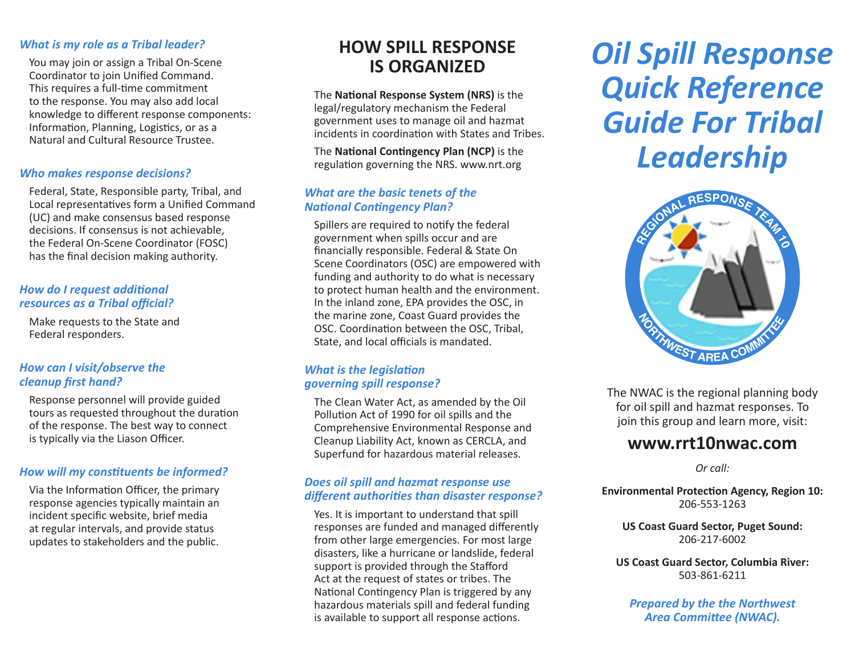### *What is my role as a Tribal leader?*

You may join or assign a Tribal On-Scene Coordinator to join Unified Command. This requires a full-time commitment to the response. You may also add local knowledge to different response components: Information, Planning, Logistics, or as a Natural and Cultural Resource Trustee.

### *Who makes response decisions?*

Federal, State, Responsible party, Tribal, and Local representatives form a Unified Command (UC) and make consensus based response decisions. If consensus is not achievable, the Federal On-Scene Coordinator (FOSC) has the final decision making authority.

### *How do I request additional resources as a Tribal official?*

Make requests to the State and Federal responders.

### *How can I visit/observe the cleanup first hand?*

Response personnel will provide guided tours as requested throughout the duration of the response. The best way to connect is typically via the Liason Officer.

### *How will my constituents be informed?*

Via the Information Officer, the primary response agencies typically maintain an incident specific website, brief media at regular intervals, and provide status updates to stakeholders and the public.

## **HOW SPILL RESPONSE IS ORGANIZED**

The **National Response System (NRS)** is the legal/regulatory mechanism the Federal government uses to manage oil and hazmat incidents in coordination with States and Tribes.

The **National Contingency Plan (NCP)** is the regulation governing the NRS. www.nrt.org

### *What are the basic tenets of the National Contingency Plan?*

Spillers are required to notify the federal government when spills occur and are financially responsible. Federal & State On Scene Coordinators (OSC) are empowered with funding and authority to do what is necessary to protect human health and the environment. In the inland zone, EPA provides the OSC, in the marine zone, Coast Guard provides the OSC. Coordination between the OSC, Tribal, State, and local officials is mandated.

### *What is the legislation governing spill response?*

The Clean Water Act, as amended by the Oil Pollution Act of 1990 for oil spills and the Comprehensive Environmental Response and Cleanup Liability Act, known as CERCLA, and Superfund for hazardous material releases.

### *Does oil spill and hazmat response use different authorities than disaster response?*

Yes. It is important to understand that spill responses are funded and managed differently from other large emergencies. For most large disasters, like a hurricane or landslide, federal support is provided through the Stafford Act at the request of states or tribes. The National Contingency Plan is triggered by any hazardous materials spill and federal funding is available to support all response actions.

# *Oil Spill Response Quick Reference Guide For Tribal Leadership*



The NWAC is the regional planning body for oil spill and hazmat responses. To join this group and learn more, visit:

### **www.rrt10nwac.com**

*Or call:* 

**Environmental Protection Agency, Region 10:** 206-553-1263

**US Coast Guard Sector, Puget Sound:** 206-217-6002

**US Coast Guard Sector, Columbia River:** 503-861-6211

*Prepared by the the Northwest Area Committee (NWAC).*